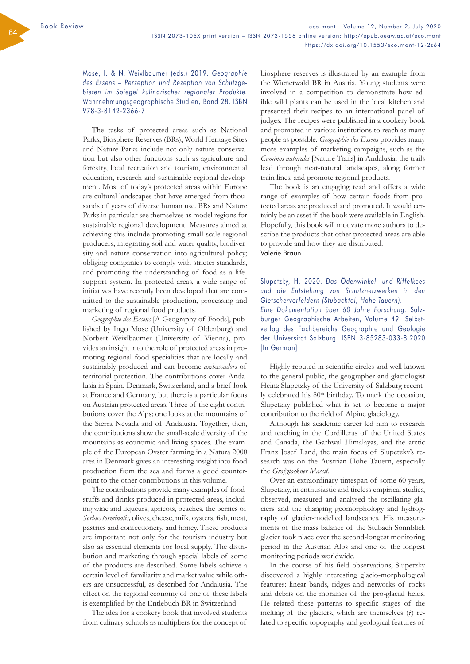Mose, I. & N. Weixlbaumer (eds.) 2019. *Geographie des Essens – Perzeption und Rezeption von Schutzgebieten im Spiegel kulinarischer regionaler Produkte.*  Wahrnehmungsgeographische Studien, Band 28. ISBN 978-3-8142-2366-7

The tasks of protected areas such as National Parks, Biosphere Reserves (BRs), World Heritage Sites and Nature Parks include not only nature conservation but also other functions such as agriculture and forestry, local recreation and tourism, environmental education, research and sustainable regional development. Most of today's protected areas within Europe are cultural landscapes that have emerged from thousands of years of diverse human use. BRs and Nature Parks in particular see themselves as model regions for sustainable regional development. Measures aimed at achieving this include promoting small-scale regional producers; integrating soil and water quality, biodiversity and nature conservation into agricultural policy; obliging companies to comply with stricter standards, and promoting the understanding of food as a lifesupport system. In protected areas, a wide range of initiatives have recently been developed that are committed to the sustainable production, processing and marketing of regional food products.

*Geographie des Essens* [A Geography of Foods], published by Ingo Mose (University of Oldenburg) and Norbert Weixlbaumer (University of Vienna), provides an insight into the role of protected areas in promoting regional food specialities that are locally and sustainably produced and can become *ambassadors* of territorial protection. The contributions cover Andalusia in Spain, Denmark, Switzerland, and a brief look at France and Germany, but there is a particular focus on Austrian protected areas. Three of the eight contributions cover the Alps; one looks at the mountains of the Sierra Nevada and of Andalusia. Together, then, the contributions show the small-scale diversity of the mountains as economic and living spaces. The example of the European Oyster farming in a Natura 2000 area in Denmark gives an interesting insight into food production from the sea and forms a good counterpoint to the other contributions in this volume.

The contributions provide many examples of foodstuffs and drinks produced in protected areas, including wine and liqueurs, apricots, peaches, the berries of *Sorbus torminalis,* olives, cheese, milk, oysters, fish, meat, pastries and confectionery, and honey. These products are important not only for the tourism industry but also as essential elements for local supply. The distribution and marketing through special labels of some of the products are described. Some labels achieve a certain level of familiarity and market value while others are unsuccessful, as described for Andalusia. The effect on the regional economy of one of these labels is exemplified by the Entlebuch BR in Switzerland.

The idea for a cookery book that involved students from culinary schools as multipliers for the concept of biosphere reserves is illustrated by an example from the Wienerwald BR in Austria. Young students were involved in a competition to demonstrate how edible wild plants can be used in the local kitchen and presented their recipes to an international panel of judges. The recipes were published in a cookery book and promoted in various institutions to reach as many people as possible. *Geographie des Essens* provides many more examples of marketing campaigns, such as the *Caminos naturales* [Nature Trails] in Andalusia: the trails lead through near-natural landscapes, along former train lines, and promote regional products.

The book is an engaging read and offers a wide range of examples of how certain foods from protected areas are produced and promoted. It would certainly be an asset if the book were available in English. Hopefully, this book will motivate more authors to describe the products that other protected areas are able to provide and how they are distributed. Valerie Braun

## Slupetzky, H. 2020. *Das Ödenwinkel- und Riffelkees und die Entstehung von Schutznetzwerken in den Gletschervorfeldern (Stubachtal, Hohe Tauern).*

*Eine Dokumentation über 60 Jahre Forschung.* Salzburger Geographische Arbeiten, Volume 49. Selbstverlag des Fachbereichs Geographie und Geologie der Universität Salzburg. ISBN 3-85283-033-8.2020 [In German]

Highly reputed in scientific circles and well known to the general public, the geographer and glaciologist Heinz Slupetzky of the University of Salzburg recently celebrated his 80<sup>th</sup> birthday. To mark the occasion, Slupetzky published what is set to become a major contribution to the field of Alpine glaciology.

Although his academic career led him to research and teaching in the Cordilleras of the United States and Canada, the Garhwal Himalayas, and the arctic Franz Josef Land, the main focus of Slupetzky's research was on the Austrian Hohe Tauern, especially the *Großglockner Massif*.

Over an extraordinary timespan of some 60 years, Slupetzky, in enthusiastic and tireless empirical studies, observed, measured and analysed the oscillating glaciers and the changing geomorphology and hydrography of glacier-modelled landscapes. His measurements of the mass balance of the Stubach Sonnblick glacier took place over the second-longest monitoring period in the Austrian Alps and one of the longest monitoring periods worldwide.

In the course of his field observations, Slupetzky discovered a highly interesting glacio-morphological features: linear bands, ridges and networks of rocks and debris on the moraines of the pro-glacial fields. He related these patterns to specific stages of the melting of the glaciers, which are themselves (?) related to specific topography and geological features of